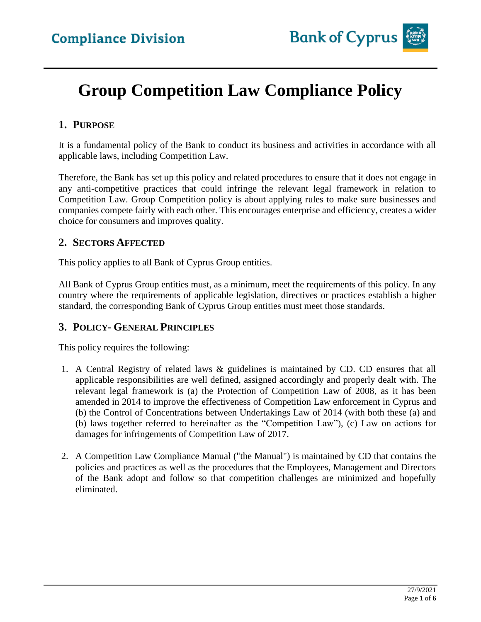

# **Group Competition Law Compliance Policy**

### **1. PURPOSE**

It is a fundamental policy of the Bank to conduct its business and activities in accordance with all applicable laws, including Competition Law.

Therefore, the Bank has set up this policy and related procedures to ensure that it does not engage in any anti-competitive practices that could infringe the relevant legal framework in relation to Competition Law. Group Competition policy is about applying rules to make sure businesses and companies compete fairly with each other. This encourages enterprise and efficiency, creates a wider choice for consumers and improves quality.

#### **2. SECTORS AFFECTED**

This policy applies to all Bank of Cyprus Group entities.

All Bank of Cyprus Group entities must, as a minimum, meet the requirements of this policy. In any country where the requirements of applicable legislation, directives or practices establish a higher standard, the corresponding Bank of Cyprus Group entities must meet those standards.

### **3. POLICY- GENERAL PRINCIPLES**

This policy requires the following:

- 1. A Central Registry of related laws & guidelines is maintained by CD. CD ensures that all applicable responsibilities are well defined, assigned accordingly and properly dealt with. The relevant legal framework is (a) the Protection of Competition Law of 2008, as it has been amended in 2014 to improve the effectiveness of Competition Law enforcement in Cyprus and (b) the Control of Concentrations between Undertakings Law of 2014 (with both these (a) and (b) laws together referred to hereinafter as the "Competition Law"), (c) Law on actions for damages for infringements of Competition Law of 2017.
- 2. A Competition Law Compliance Manual ("the Manual") is maintained by CD that contains the policies and practices as well as the procedures that the Employees, Management and Directors of the Bank adopt and follow so that competition challenges are minimized and hopefully eliminated.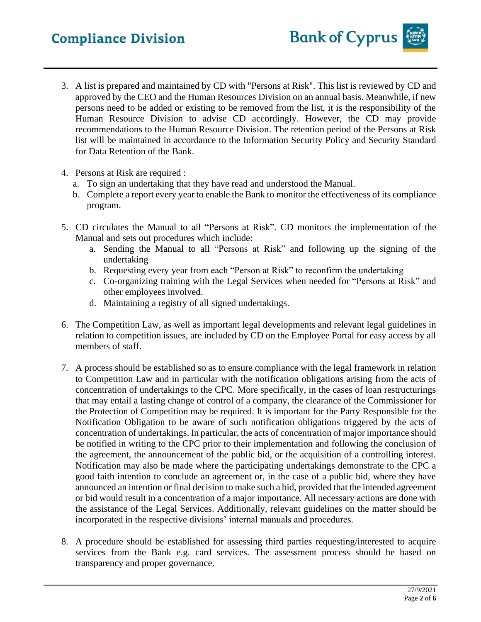# **Compliance Division**

- 3. A list is prepared and maintained by CD with "Persons at Risk". This list is reviewed by CD and approved by the CEO and the Human Resources Division on an annual basis. Meanwhile, if new persons need to be added or existing to be removed from the list, it is the responsibility of the Human Resource Division to advise CD accordingly. However, the CD may provide recommendations to the Human Resource Division. The retention period of the Persons at Risk list will be maintained in accordance to the Information Security Policy and Security Standard for Data Retention of the Bank.
- 4. Persons at Risk are required :
	- a. To sign an undertaking that they have read and understood the Manual.
	- b. Complete a report every year to enable the Bank to monitor the effectiveness of its compliance program.
- 5. CD circulates the Manual to all "Persons at Risk". CD monitors the implementation of the Manual and sets out procedures which include:
	- a. Sending the Manual to all "Persons at Risk" and following up the signing of the undertaking
	- b. Requesting every year from each "Person at Risk" to reconfirm the undertaking
	- c. Co-organizing training with the Legal Services when needed for "Persons at Risk" and other employees involved.
	- d. Maintaining a registry of all signed undertakings.
- 6. The Competition Law, as well as important legal developments and relevant legal guidelines in relation to competition issues, are included by CD on the Employee Portal for easy access by all members of staff.
- 7. A process should be established so as to ensure compliance with the legal framework in relation to Competition Law and in particular with the notification obligations arising from the acts of concentration of undertakings to the CPC. More specifically, in the cases of loan restructurings that may entail a lasting change of control of a company, the clearance of the Commissioner for the Protection of Competition may be required. It is important for the Party Responsible for the Notification Obligation to be aware of such notification obligations triggered by the acts of concentration of undertakings. In particular, the acts of concentration of major importance should be notified in writing to the CPC prior to their implementation and following the conclusion of the agreement, the announcement of the public bid, or the acquisition of a controlling interest. Notification may also be made where the participating undertakings demonstrate to the CPC a good faith intention to conclude an agreement or, in the case of a public bid, where they have announced an intention or final decision to make such a bid, provided that the intended agreement or bid would result in a concentration of a major importance. All necessary actions are done with the assistance of the Legal Services. Additionally, relevant guidelines on the matter should be incorporated in the respective divisions' internal manuals and procedures.
- 8. A procedure should be established for assessing third parties requesting/interested to acquire services from the Bank e.g. card services. The assessment process should be based on transparency and proper governance.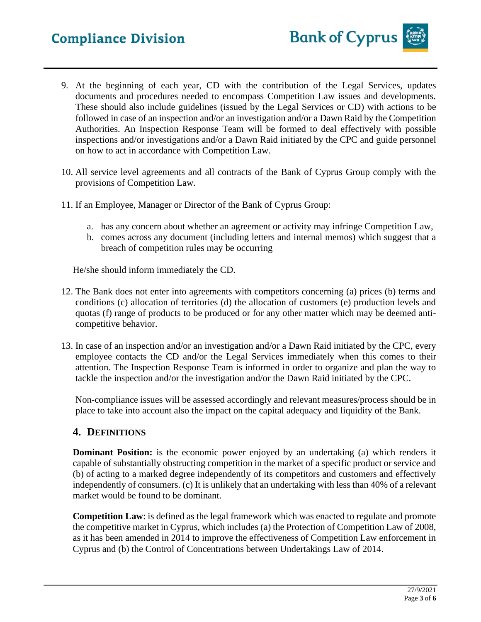# **Compliance Division**

- 9. At the beginning of each year, CD with the contribution of the Legal Services, updates documents and procedures needed to encompass Competition Law issues and developments. These should also include guidelines (issued by the Legal Services or CD) with actions to be followed in case of an inspection and/or an investigation and/or a Dawn Raid by the Competition Authorities. An Inspection Response Team will be formed to deal effectively with possible inspections and/or investigations and/or a Dawn Raid initiated by the CPC and guide personnel on how to act in accordance with Competition Law.
- 10. All service level agreements and all contracts of the Bank of Cyprus Group comply with the provisions of Competition Law.
- 11. If an Employee, Manager or Director of the Bank of Cyprus Group:
	- a. has any concern about whether an agreement or activity may infringe Competition Law,
	- b. comes across any document (including letters and internal memos) which suggest that a breach of competition rules may be occurring

He/she should inform immediately the CD.

- 12. The Bank does not enter into agreements with competitors concerning (a) prices (b) terms and conditions (c) allocation of territories (d) the allocation of customers (e) production levels and quotas (f) range of products to be produced or for any other matter which may be deemed anticompetitive behavior.
- 13. In case of an inspection and/or an investigation and/or a Dawn Raid initiated by the CPC, every employee contacts the CD and/or the Legal Services immediately when this comes to their attention. The Inspection Response Team is informed in order to organize and plan the way to tackle the inspection and/or the investigation and/or the Dawn Raid initiated by the CPC.

Non-compliance issues will be assessed accordingly and relevant measures/process should be in place to take into account also the impact on the capital adequacy and liquidity of the Bank.

#### **4. DEFINITIONS**

**Dominant Position:** is the economic power enjoyed by an undertaking (a) which renders it capable of substantially obstructing competition in the market of a specific product or service and (b) of acting to a marked degree independently of its competitors and customers and effectively independently of consumers. (c) It is unlikely that an undertaking with less than 40% of a relevant market would be found to be dominant.

**Competition Law**: is defined as the legal framework which was enacted to regulate and promote the competitive market in Cyprus, which includes (a) the Protection of Competition Law of 2008, as it has been amended in 2014 to improve the effectiveness of Competition Law enforcement in Cyprus and (b) the Control of Concentrations between Undertakings Law of 2014.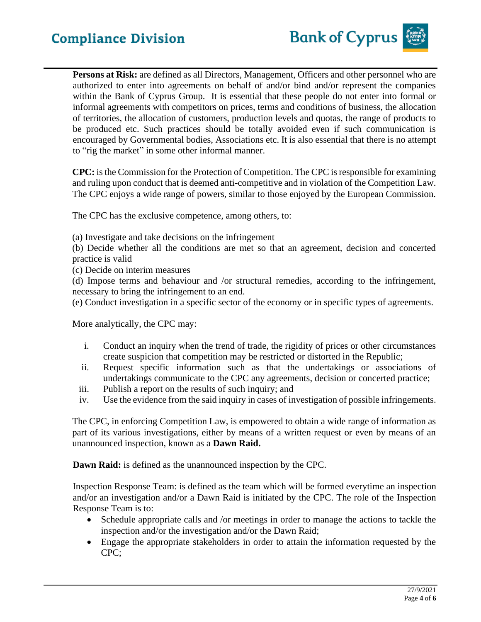**Persons at Risk:** are defined as all Directors, Management, Officers and other personnel who are authorized to enter into agreements on behalf of and/or bind and/or represent the companies within the Bank of Cyprus Group. It is essential that these people do not enter into formal or informal agreements with competitors on prices, terms and conditions of business, the allocation of territories, the allocation of customers, production levels and quotas, the range of products to be produced etc. Such practices should be totally avoided even if such communication is encouraged by Governmental bodies, Associations etc. It is also essential that there is no attempt to "rig the market" in some other informal manner.

**CPC:** is the Commission for the Protection of Competition. The CPC is responsible for examining and ruling upon conduct that is deemed anti-competitive and in violation of the Competition Law. The CPC enjoys a wide range of powers, similar to those enjoyed by the European Commission.

The CPC has the exclusive competence, among others, to:

(a) Investigate and take decisions on the infringement

(b) Decide whether all the conditions are met so that an agreement, decision and concerted practice is valid

(c) Decide on interim measures

(d) Impose terms and behaviour and /or structural remedies, according to the infringement, necessary to bring the infringement to an end.

(e) Conduct investigation in a specific sector of the economy or in specific types of agreements.

More analytically, the CPC may:

- i. Conduct an inquiry when the trend of trade, the rigidity of prices or other circumstances create suspicion that competition may be restricted or distorted in the Republic;
- ii. Request specific information such as that the undertakings or associations of undertakings communicate to the CPC any agreements, decision or concerted practice;
- iii. Publish a report on the results of such inquiry; and
- iv. Use the evidence from the said inquiry in cases of investigation of possible infringements.

The CPC, in enforcing Competition Law, is empowered to obtain a wide range of information as part of its various investigations, either by means of a written request or even by means of an unannounced inspection, known as a **Dawn Raid.**

**Dawn Raid:** is defined as the unannounced inspection by the CPC.

Inspection Response Team: is defined as the team which will be formed everytime an inspection and/or an investigation and/or a Dawn Raid is initiated by the CPC. The role of the Inspection Response Team is to:

- Schedule appropriate calls and /or meetings in order to manage the actions to tackle the inspection and/or the investigation and/or the Dawn Raid;
- Engage the appropriate stakeholders in order to attain the information requested by the CPC;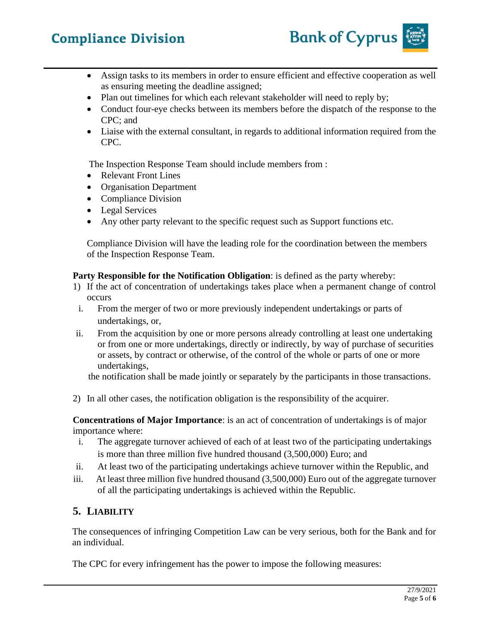# **Compliance Division**



- Assign tasks to its members in order to ensure efficient and effective cooperation as well as ensuring meeting the deadline assigned;
- Plan out timelines for which each relevant stakeholder will need to reply by;
- Conduct four-eye checks between its members before the dispatch of the response to the CPC; and
- Liaise with the external consultant, in regards to additional information required from the CPC.

The Inspection Response Team should include members from :

- Relevant Front Lines
- Organisation Department
- Compliance Division
- Legal Services
- Any other party relevant to the specific request such as Support functions etc.

Compliance Division will have the leading role for the coordination between the members of the Inspection Response Team.

#### **Party Responsible for the Notification Obligation**: is defined as the party whereby:

- 1) If the act of concentration of undertakings takes place when a permanent change of control occurs
- i. From the merger of two or more previously independent undertakings or parts of undertakings, or,
- ii. From the acquisition by one or more persons already controlling at least one undertaking or from one or more undertakings, directly or indirectly, by way of purchase of securities or assets, by contract or otherwise, of the control of the whole or parts of one or more undertakings,

the notification shall be made jointly or separately by the participants in those transactions.

2) In all other cases, the notification obligation is the responsibility of the acquirer.

**Concentrations of Major Importance**: is an act of concentration of undertakings is of major importance where:

- i. The aggregate turnover achieved of each of at least two of the participating undertakings is more than three million five hundred thousand (3,500,000) Euro; and
- ii. At least two of the participating undertakings achieve turnover within the Republic, and
- iii. At least three million five hundred thousand (3,500,000) Euro out of the aggregate turnover of all the participating undertakings is achieved within the Republic.

### **5. LIABILITY**

The consequences of infringing Competition Law can be very serious, both for the Bank and for an individual.

The CPC for every infringement has the power to impose the following measures: